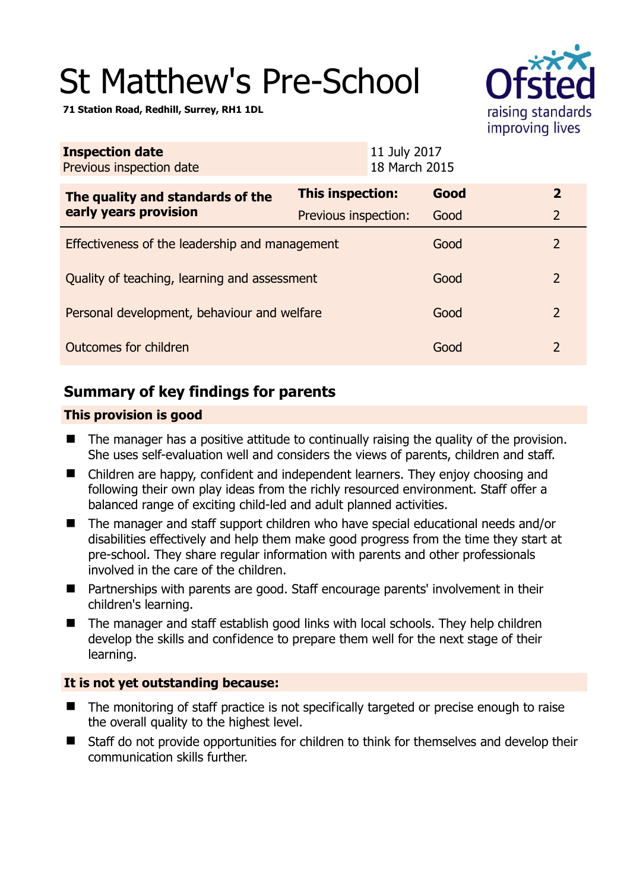# St Matthew's Pre-School



**71 Station Road, Redhill, Surrey, RH1 1DL** 

| <b>Inspection date</b><br>Previous inspection date        | 11 July 2017<br>18 March 2015 |      |                |
|-----------------------------------------------------------|-------------------------------|------|----------------|
| The quality and standards of the<br>early years provision | This inspection:              | Good | $\mathbf{2}$   |
|                                                           | Previous inspection:          | Good | $\overline{2}$ |
| Effectiveness of the leadership and management            |                               | Good | $\overline{2}$ |
| Quality of teaching, learning and assessment              |                               | Good | $\overline{2}$ |
| Personal development, behaviour and welfare               |                               | Good | $\overline{2}$ |
| Outcomes for children                                     |                               | Good | $\overline{2}$ |

# **Summary of key findings for parents**

# **This provision is good**

- The manager has a positive attitude to continually raising the quality of the provision. She uses self-evaluation well and considers the views of parents, children and staff.
- Children are happy, confident and independent learners. They enjoy choosing and following their own play ideas from the richly resourced environment. Staff offer a balanced range of exciting child-led and adult planned activities.
- The manager and staff support children who have special educational needs and/or disabilities effectively and help them make good progress from the time they start at pre-school. They share regular information with parents and other professionals involved in the care of the children.
- Partnerships with parents are good. Staff encourage parents' involvement in their children's learning.
- The manager and staff establish good links with local schools. They help children develop the skills and confidence to prepare them well for the next stage of their learning.

# **It is not yet outstanding because:**

- The monitoring of staff practice is not specifically targeted or precise enough to raise the overall quality to the highest level.
- Staff do not provide opportunities for children to think for themselves and develop their communication skills further.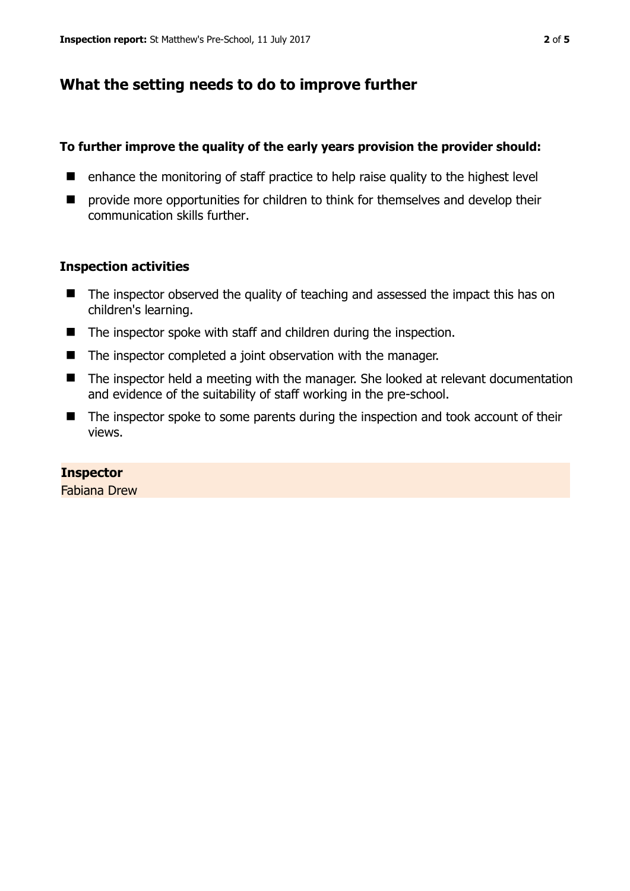# **What the setting needs to do to improve further**

### **To further improve the quality of the early years provision the provider should:**

- $\blacksquare$  enhance the monitoring of staff practice to help raise quality to the highest level
- **P** provide more opportunities for children to think for themselves and develop their communication skills further.

## **Inspection activities**

- The inspector observed the quality of teaching and assessed the impact this has on children's learning.
- The inspector spoke with staff and children during the inspection.
- The inspector completed a joint observation with the manager.
- The inspector held a meeting with the manager. She looked at relevant documentation and evidence of the suitability of staff working in the pre-school.
- The inspector spoke to some parents during the inspection and took account of their views.

# **Inspector**

Fabiana Drew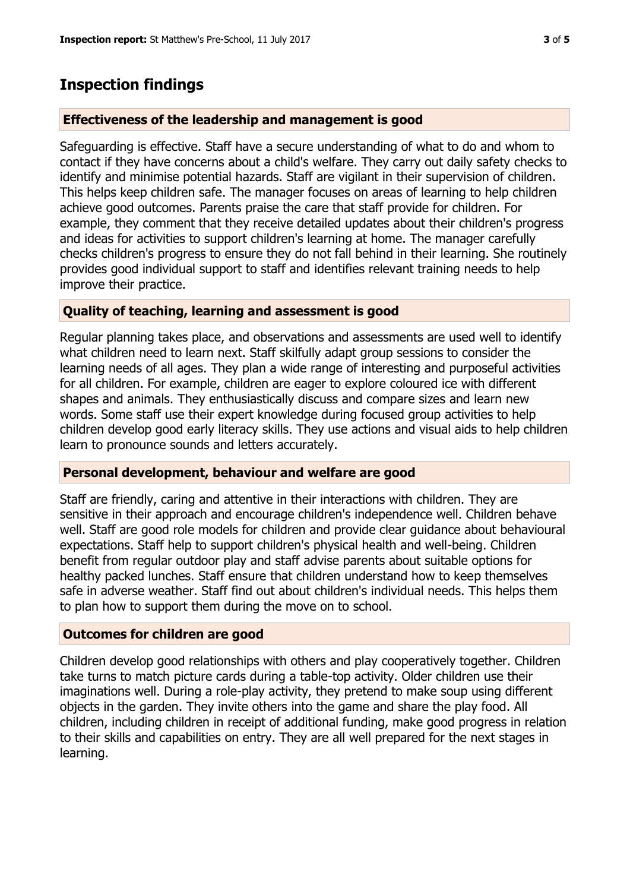# **Inspection findings**

### **Effectiveness of the leadership and management is good**

Safeguarding is effective. Staff have a secure understanding of what to do and whom to contact if they have concerns about a child's welfare. They carry out daily safety checks to identify and minimise potential hazards. Staff are vigilant in their supervision of children. This helps keep children safe. The manager focuses on areas of learning to help children achieve good outcomes. Parents praise the care that staff provide for children. For example, they comment that they receive detailed updates about their children's progress and ideas for activities to support children's learning at home. The manager carefully checks children's progress to ensure they do not fall behind in their learning. She routinely provides good individual support to staff and identifies relevant training needs to help improve their practice.

## **Quality of teaching, learning and assessment is good**

Regular planning takes place, and observations and assessments are used well to identify what children need to learn next. Staff skilfully adapt group sessions to consider the learning needs of all ages. They plan a wide range of interesting and purposeful activities for all children. For example, children are eager to explore coloured ice with different shapes and animals. They enthusiastically discuss and compare sizes and learn new words. Some staff use their expert knowledge during focused group activities to help children develop good early literacy skills. They use actions and visual aids to help children learn to pronounce sounds and letters accurately.

#### **Personal development, behaviour and welfare are good**

Staff are friendly, caring and attentive in their interactions with children. They are sensitive in their approach and encourage children's independence well. Children behave well. Staff are good role models for children and provide clear guidance about behavioural expectations. Staff help to support children's physical health and well-being. Children benefit from regular outdoor play and staff advise parents about suitable options for healthy packed lunches. Staff ensure that children understand how to keep themselves safe in adverse weather. Staff find out about children's individual needs. This helps them to plan how to support them during the move on to school.

#### **Outcomes for children are good**

Children develop good relationships with others and play cooperatively together. Children take turns to match picture cards during a table-top activity. Older children use their imaginations well. During a role-play activity, they pretend to make soup using different objects in the garden. They invite others into the game and share the play food. All children, including children in receipt of additional funding, make good progress in relation to their skills and capabilities on entry. They are all well prepared for the next stages in learning.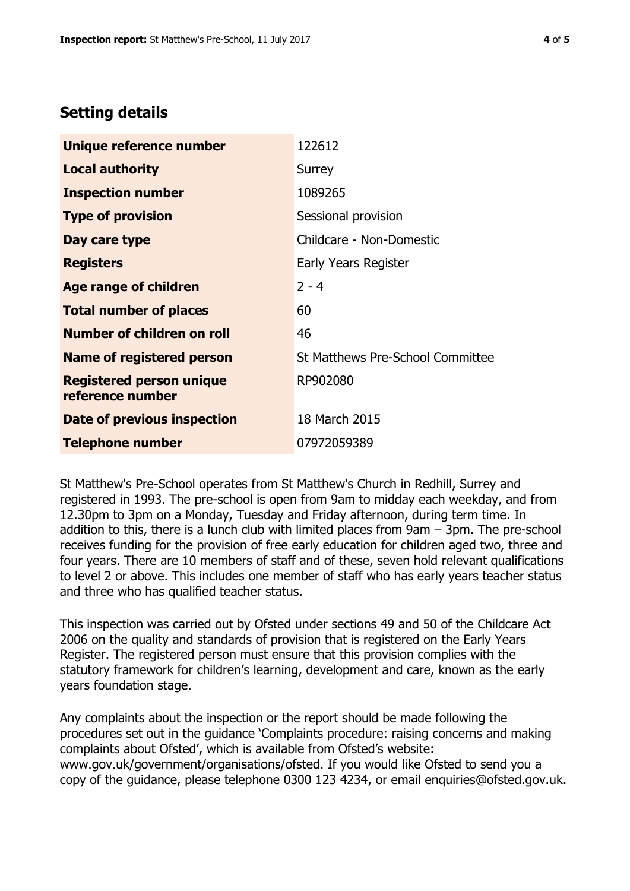# **Setting details**

| Unique reference number                             | 122612                           |
|-----------------------------------------------------|----------------------------------|
| <b>Local authority</b>                              | Surrey                           |
| <b>Inspection number</b>                            | 1089265                          |
| <b>Type of provision</b>                            | Sessional provision              |
| Day care type                                       | Childcare - Non-Domestic         |
| <b>Registers</b>                                    | <b>Early Years Register</b>      |
| Age range of children                               | $2 - 4$                          |
| <b>Total number of places</b>                       | 60                               |
| Number of children on roll                          | 46                               |
| Name of registered person                           | St Matthews Pre-School Committee |
| <b>Registered person unique</b><br>reference number | RP902080                         |
| Date of previous inspection                         | 18 March 2015                    |
| <b>Telephone number</b>                             | 07972059389                      |

St Matthew's Pre-School operates from St Matthew's Church in Redhill, Surrey and registered in 1993. The pre-school is open from 9am to midday each weekday, and from 12.30pm to 3pm on a Monday, Tuesday and Friday afternoon, during term time. In addition to this, there is a lunch club with limited places from 9am – 3pm. The pre-school receives funding for the provision of free early education for children aged two, three and four years. There are 10 members of staff and of these, seven hold relevant qualifications to level 2 or above. This includes one member of staff who has early years teacher status and three who has qualified teacher status.

This inspection was carried out by Ofsted under sections 49 and 50 of the Childcare Act 2006 on the quality and standards of provision that is registered on the Early Years Register. The registered person must ensure that this provision complies with the statutory framework for children's learning, development and care, known as the early years foundation stage.

Any complaints about the inspection or the report should be made following the procedures set out in the guidance 'Complaints procedure: raising concerns and making complaints about Ofsted', which is available from Ofsted's website: www.gov.uk/government/organisations/ofsted. If you would like Ofsted to send you a copy of the guidance, please telephone 0300 123 4234, or email enquiries@ofsted.gov.uk.